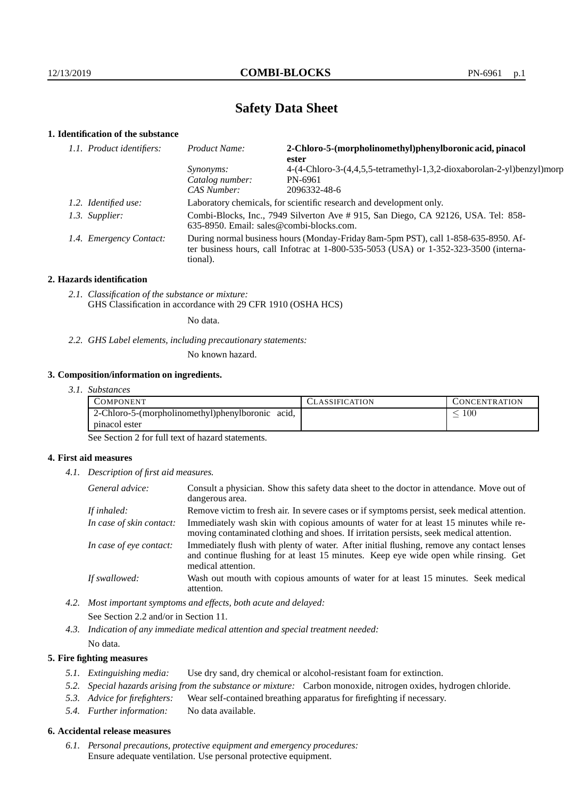# **Safety Data Sheet**

# **1. Identification of the substance**

| 1.1. Product identifiers: | Product Name:                                                                                                                                                                           | 2-Chloro-5-(morpholinomethyl)phenylboronic acid, pinacol<br>ester      |  |
|---------------------------|-----------------------------------------------------------------------------------------------------------------------------------------------------------------------------------------|------------------------------------------------------------------------|--|
|                           | <i>Synonyms:</i>                                                                                                                                                                        | 4-(4-Chloro-3-(4,4,5,5-tetramethyl-1,3,2-dioxaborolan-2-yl)benzyl)morp |  |
|                           | Catalog number:                                                                                                                                                                         | PN-6961                                                                |  |
|                           | CAS Number:                                                                                                                                                                             | 2096332-48-6                                                           |  |
| 1.2. Identified use:      | Laboratory chemicals, for scientific research and development only.                                                                                                                     |                                                                        |  |
| 1.3. Supplier:            | Combi-Blocks, Inc., 7949 Silverton Ave # 915, San Diego, CA 92126, USA. Tel: 858-<br>$635-8950$ . Email: sales@combi-blocks.com.                                                        |                                                                        |  |
| 1.4. Emergency Contact:   | During normal business hours (Monday-Friday 8am-5pm PST), call 1-858-635-8950. Af-<br>ter business hours, call Infotrac at 1-800-535-5053 (USA) or 1-352-323-3500 (interna-<br>tional). |                                                                        |  |

#### **2. Hazards identification**

*2.1. Classification of the substance or mixture:* GHS Classification in accordance with 29 CFR 1910 (OSHA HCS)

No data.

*2.2. GHS Label elements, including precautionary statements:*

No known hazard.

#### **3. Composition/information on ingredients.**

*3.1. Substances*

| COMPONENT                                        | <b>LASSIFICATION</b> | <b>CONCENTRATION</b> |
|--------------------------------------------------|----------------------|----------------------|
| 2-Chloro-5-(morpholinomethyl)phenylboronic acid, |                      | 100                  |
| pinacol ester                                    |                      |                      |

See Section 2 for full text of hazard statements.

### **4. First aid measures**

*4.1. Description of first aid measures.*

| General advice:          | Consult a physician. Show this safety data sheet to the doctor in attendance. Move out of<br>dangerous area.                                                                                            |
|--------------------------|---------------------------------------------------------------------------------------------------------------------------------------------------------------------------------------------------------|
| If inhaled:              | Remove victim to fresh air. In severe cases or if symptoms persist, seek medical attention.                                                                                                             |
| In case of skin contact: | Immediately wash skin with copious amounts of water for at least 15 minutes while re-<br>moving contaminated clothing and shoes. If irritation persists, seek medical attention.                        |
| In case of eye contact:  | Immediately flush with plenty of water. After initial flushing, remove any contact lenses<br>and continue flushing for at least 15 minutes. Keep eye wide open while rinsing. Get<br>medical attention. |
| If swallowed:            | Wash out mouth with copious amounts of water for at least 15 minutes. Seek medical<br>attention.                                                                                                        |

*4.2. Most important symptoms and effects, both acute and delayed:* See Section 2.2 and/or in Section 11.

*4.3. Indication of any immediate medical attention and special treatment needed:* No data.

### **5. Fire fighting measures**

- *5.1. Extinguishing media:* Use dry sand, dry chemical or alcohol-resistant foam for extinction.
- *5.2. Special hazards arising from the substance or mixture:* Carbon monoxide, nitrogen oxides, hydrogen chloride.
- *5.3. Advice for firefighters:* Wear self-contained breathing apparatus for firefighting if necessary.
- *5.4. Further information:* No data available.

## **6. Accidental release measures**

*6.1. Personal precautions, protective equipment and emergency procedures:* Ensure adequate ventilation. Use personal protective equipment.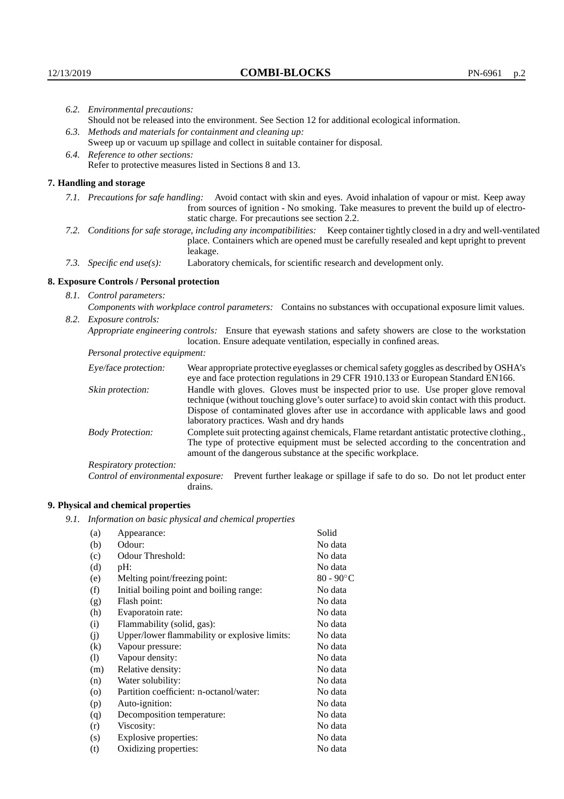| 6.2. Environmental precautions:                             |                                                                                                                                                                                                                                                                    |                                                                                                                                                                                                                                                                                                                        |  |  |
|-------------------------------------------------------------|--------------------------------------------------------------------------------------------------------------------------------------------------------------------------------------------------------------------------------------------------------------------|------------------------------------------------------------------------------------------------------------------------------------------------------------------------------------------------------------------------------------------------------------------------------------------------------------------------|--|--|
|                                                             | Should not be released into the environment. See Section 12 for additional ecological information.                                                                                                                                                                 |                                                                                                                                                                                                                                                                                                                        |  |  |
| 6.3. Methods and materials for containment and cleaning up: |                                                                                                                                                                                                                                                                    |                                                                                                                                                                                                                                                                                                                        |  |  |
|                                                             |                                                                                                                                                                                                                                                                    | Sweep up or vacuum up spillage and collect in suitable container for disposal.                                                                                                                                                                                                                                         |  |  |
|                                                             | 6.4. Reference to other sections:                                                                                                                                                                                                                                  |                                                                                                                                                                                                                                                                                                                        |  |  |
|                                                             |                                                                                                                                                                                                                                                                    | Refer to protective measures listed in Sections 8 and 13.                                                                                                                                                                                                                                                              |  |  |
|                                                             | 7. Handling and storage                                                                                                                                                                                                                                            |                                                                                                                                                                                                                                                                                                                        |  |  |
|                                                             | 7.1. Precautions for safe handling: Avoid contact with skin and eyes. Avoid inhalation of vapour or mist. Keep away<br>from sources of ignition - No smoking. Take measures to prevent the build up of electro-<br>static charge. For precautions see section 2.2. |                                                                                                                                                                                                                                                                                                                        |  |  |
|                                                             | 7.2. Conditions for safe storage, including any incompatibilities: Keep container tightly closed in a dry and well-ventilated<br>place. Containers which are opened must be carefully resealed and kept upright to prevent<br>leakage.                             |                                                                                                                                                                                                                                                                                                                        |  |  |
|                                                             | 7.3. Specific end use(s):                                                                                                                                                                                                                                          | Laboratory chemicals, for scientific research and development only.                                                                                                                                                                                                                                                    |  |  |
|                                                             | 8. Exposure Controls / Personal protection                                                                                                                                                                                                                         |                                                                                                                                                                                                                                                                                                                        |  |  |
|                                                             | 8.1. Control parameters:                                                                                                                                                                                                                                           |                                                                                                                                                                                                                                                                                                                        |  |  |
|                                                             | Components with workplace control parameters: Contains no substances with occupational exposure limit values.                                                                                                                                                      |                                                                                                                                                                                                                                                                                                                        |  |  |
|                                                             | 8.2. Exposure controls:                                                                                                                                                                                                                                            |                                                                                                                                                                                                                                                                                                                        |  |  |
|                                                             | Appropriate engineering controls: Ensure that eyewash stations and safety showers are close to the workstation<br>location. Ensure adequate ventilation, especially in confined areas.                                                                             |                                                                                                                                                                                                                                                                                                                        |  |  |
|                                                             | Personal protective equipment:                                                                                                                                                                                                                                     |                                                                                                                                                                                                                                                                                                                        |  |  |
|                                                             | Eye/face protection:                                                                                                                                                                                                                                               | Wear appropriate protective eyeglasses or chemical safety goggles as described by OSHA's<br>eye and face protection regulations in 29 CFR 1910.133 or European Standard EN166.                                                                                                                                         |  |  |
|                                                             | Skin protection:                                                                                                                                                                                                                                                   | Handle with gloves. Gloves must be inspected prior to use. Use proper glove removal<br>technique (without touching glove's outer surface) to avoid skin contact with this product.<br>Dispose of contaminated gloves after use in accordance with applicable laws and good<br>laboratory practices. Wash and dry hands |  |  |
|                                                             | <b>Body Protection:</b>                                                                                                                                                                                                                                            | Complete suit protecting against chemicals, Flame retardant antistatic protective clothing.,<br>The type of protective equipment must be selected according to the concentration and<br>amount of the dangerous substance at the specific workplace.                                                                   |  |  |
|                                                             | Respiratory protection:                                                                                                                                                                                                                                            |                                                                                                                                                                                                                                                                                                                        |  |  |

Control of environmental exposure: Prevent further leakage or spillage if safe to do so. Do not let product enter drains.

# **9. Physical and chemical properties**

*9.1. Information on basic physical and chemical properties*

| (a)                | Appearance:                                   | Solid        |
|--------------------|-----------------------------------------------|--------------|
| (b)                | Odour:                                        | No data      |
| (c)                | Odour Threshold:                              | No data      |
| (d)                | pH:                                           | No data      |
| (e)                | Melting point/freezing point:                 | $80 - 90$ °C |
| (f)                | Initial boiling point and boiling range:      | No data      |
| (g)                | Flash point:                                  | No data      |
| (h)                | Evaporatoin rate:                             | No data      |
| (i)                | Flammability (solid, gas):                    | No data      |
| (j)                | Upper/lower flammability or explosive limits: | No data      |
| $\rm(k)$           | Vapour pressure:                              | No data      |
| (1)                | Vapour density:                               | No data      |
| (m)                | Relative density:                             | No data      |
| (n)                | Water solubility:                             | No data      |
| $\left( 0 \right)$ | Partition coefficient: n-octanol/water:       | No data      |
| (p)                | Auto-ignition:                                | No data      |
| (q)                | Decomposition temperature:                    | No data      |
| (r)                | Viscosity:                                    | No data      |
| (s)                | Explosive properties:                         | No data      |
| (t)                | Oxidizing properties:                         | No data      |